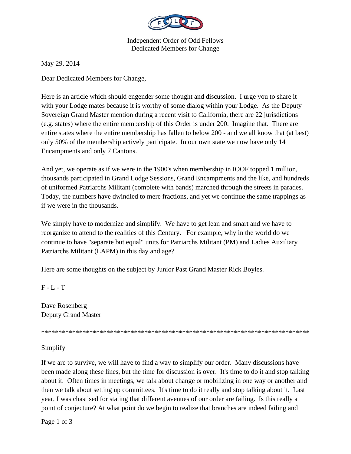

Independent Order of Odd Fellows Dedicated Members for Change

May 29, 2014

Dear Dedicated Members for Change,

Here is an article which should engender some thought and discussion. I urge you to share it with your Lodge mates because it is worthy of some dialog within your Lodge. As the Deputy Sovereign Grand Master mention during a recent visit to California, there are 22 jurisdictions (e.g. states) where the entire membership of this Order is under 200. Imagine that. There are entire states where the entire membership has fallen to below 200 - and we all know that (at best) only 50% of the membership actively participate. In our own state we now have only 14 Encampments and only 7 Cantons.

And yet, we operate as if we were in the 1900's when membership in IOOF topped 1 million, thousands participated in Grand Lodge Sessions, Grand Encampments and the like, and hundreds of uniformed Patriarchs Militant (complete with bands) marched through the streets in parades. Today, the numbers have dwindled to mere fractions, and yet we continue the same trappings as if we were in the thousands.

We simply have to modernize and simplify. We have to get lean and smart and we have to reorganize to attend to the realities of this Century. For example, why in the world do we continue to have "separate but equal" units for Patriarchs Militant (PM) and Ladies Auxiliary Patriarchs Militant (LAPM) in this day and age?

Here are some thoughts on the subject by Junior Past Grand Master Rick Boyles.

 $F - L - T$ 

Dave Rosenberg Deputy Grand Master

\*\*\*\*\*\*\*\*\*\*\*\*\*\*\*\*\*\*\*\*\*\*\*\*\*\*\*\*\*\*\*\*\*\*\*\*\*\*\*\*\*\*\*\*\*\*\*\*\*\*\*\*\*\*\*\*\*\*\*\*\*\*\*\*\*\*\*\*\*\*\*\*\*\*\*\*\*\*

Simplify

If we are to survive, we will have to find a way to simplify our order. Many discussions have been made along these lines, but the time for discussion is over. It's time to do it and stop talking about it. Often times in meetings, we talk about change or mobilizing in one way or another and then we talk about setting up committees. It's time to do it really and stop talking about it. Last year, I was chastised for stating that different avenues of our order are failing. Is this really a point of conjecture? At what point do we begin to realize that branches are indeed failing and

Page 1 of 3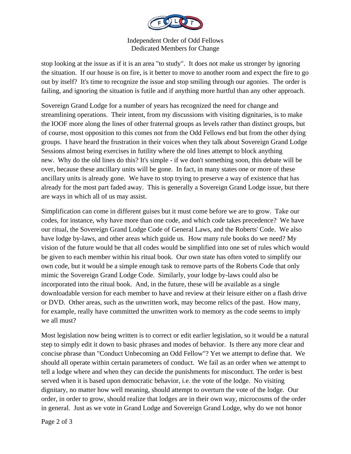

## Independent Order of Odd Fellows Dedicated Members for Change

stop looking at the issue as if it is an area "to study". It does not make us stronger by ignoring the situation. If our house is on fire, is it better to move to another room and expect the fire to go out by itself? It's time to recognize the issue and stop smiling through our agonies. The order is failing, and ignoring the situation is futile and if anything more hurtful than any other approach.

Sovereign Grand Lodge for a number of years has recognized the need for change and streamlining operations. Their intent, from my discussions with visiting dignitaries, is to make the IOOF more along the lines of other fraternal groups as levels rather than distinct groups, but of course, most opposition to this comes not from the Odd Fellows end but from the other dying groups. I have heard the frustration in their voices when they talk about Sovereign Grand Lodge Sessions almost being exercises in futility where the old lines attempt to block anything new. Why do the old lines do this? It's simple - if we don't something soon, this debate will be over, because these ancillary units will be gone. In fact, in many states one or more of these ancillary units is already gone. We have to stop trying to preserve a way of existence that has already for the most part faded away. This is generally a Sovereign Grand Lodge issue, but there are ways in which all of us may assist.

Simplification can come in different guises but it must come before we are to grow. Take our codes, for instance, why have more than one code, and which code takes precedence? We have our ritual, the Sovereign Grand Lodge Code of General Laws, and the Roberts' Code. We also have lodge by-laws, and other areas which guide us. How many rule books do we need? My vision of the future would be that all codes would be simplified into one set of rules which would be given to each member within his ritual book. Our own state has often voted to simplify our own code, but it would be a simple enough task to remove parts of the Roberts Code that only mimic the Sovereign Grand Lodge Code. Similarly, your lodge by-laws could also be incorporated into the ritual book. And, in the future, these will be available as a single downloadable version for each member to have and review at their leisure either on a flash drive or DVD. Other areas, such as the unwritten work, may become relics of the past. How many, for example, really have committed the unwritten work to memory as the code seems to imply we all must?

Most legislation now being written is to correct or edit earlier legislation, so it would be a natural step to simply edit it down to basic phrases and modes of behavior. Is there any more clear and concise phrase than "Conduct Unbecoming an Odd Fellow"? Yet we attempt to define that. We should all operate within certain parameters of conduct. We fail as an order when we attempt to tell a lodge where and when they can decide the punishments for misconduct. The order is best served when it is based upon democratic behavior, i.e. the vote of the lodge. No visiting dignitary, no matter how well meaning, should attempt to overturn the vote of the lodge. Our order, in order to grow, should realize that lodges are in their own way, microcosms of the order in general. Just as we vote in Grand Lodge and Sovereign Grand Lodge, why do we not honor

Page 2 of 3